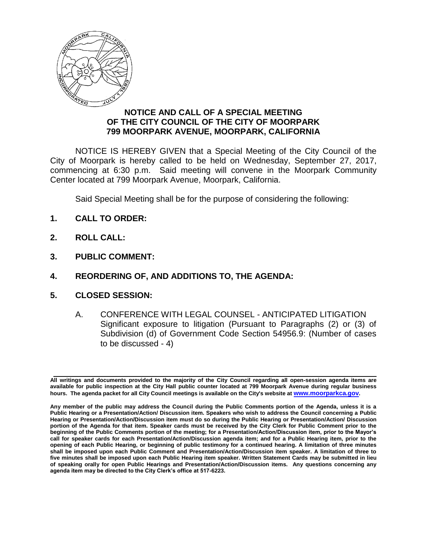

## **NOTICE AND CALL OF A SPECIAL MEETING OF THE CITY COUNCIL OF THE CITY OF MOORPARK 799 MOORPARK AVENUE, MOORPARK, CALIFORNIA**

NOTICE IS HEREBY GIVEN that a Special Meeting of the City Council of the City of Moorpark is hereby called to be held on Wednesday, September 27, 2017, commencing at 6:30 p.m. Said meeting will convene in the Moorpark Community Center located at 799 Moorpark Avenue, Moorpark, California.

Said Special Meeting shall be for the purpose of considering the following:

- **1. CALL TO ORDER:**
- **2. ROLL CALL:**
- **3. PUBLIC COMMENT:**
- **4. REORDERING OF, AND ADDITIONS TO, THE AGENDA:**
- **5. CLOSED SESSION:**
	- A. CONFERENCE WITH LEGAL COUNSEL ANTICIPATED LITIGATION Significant exposure to litigation (Pursuant to Paragraphs (2) or (3) of Subdivision (d) of Government Code Section 54956.9: (Number of cases to be discussed - 4)

**All writings and documents provided to the majority of the City Council regarding all open-session agenda items are available for public inspection at the City Hall public counter located at 799 Moorpark Avenue during regular business hours. The agenda packet for all City Council meetings is available on the City's website at [www.moorparkca.gov](http://www.moorparkca.gov/).**

**Any member of the public may address the Council during the Public Comments portion of the Agenda, unless it is a Public Hearing or a Presentation/Action/ Discussion item. Speakers who wish to address the Council concerning a Public Hearing or Presentation/Action/Discussion item must do so during the Public Hearing or Presentation/Action/ Discussion portion of the Agenda for that item. Speaker cards must be received by the City Clerk for Public Comment prior to the beginning of the Public Comments portion of the meeting; for a Presentation/Action/Discussion item, prior to the Mayor's call for speaker cards for each Presentation/Action/Discussion agenda item; and for a Public Hearing item, prior to the opening of each Public Hearing, or beginning of public testimony for a continued hearing. A limitation of three minutes shall be imposed upon each Public Comment and Presentation/Action/Discussion item speaker. A limitation of three to five minutes shall be imposed upon each Public Hearing item speaker. Written Statement Cards may be submitted in lieu of speaking orally for open Public Hearings and Presentation/Action/Discussion items. Any questions concerning any agenda item may be directed to the City Clerk's office at 517-6223.**